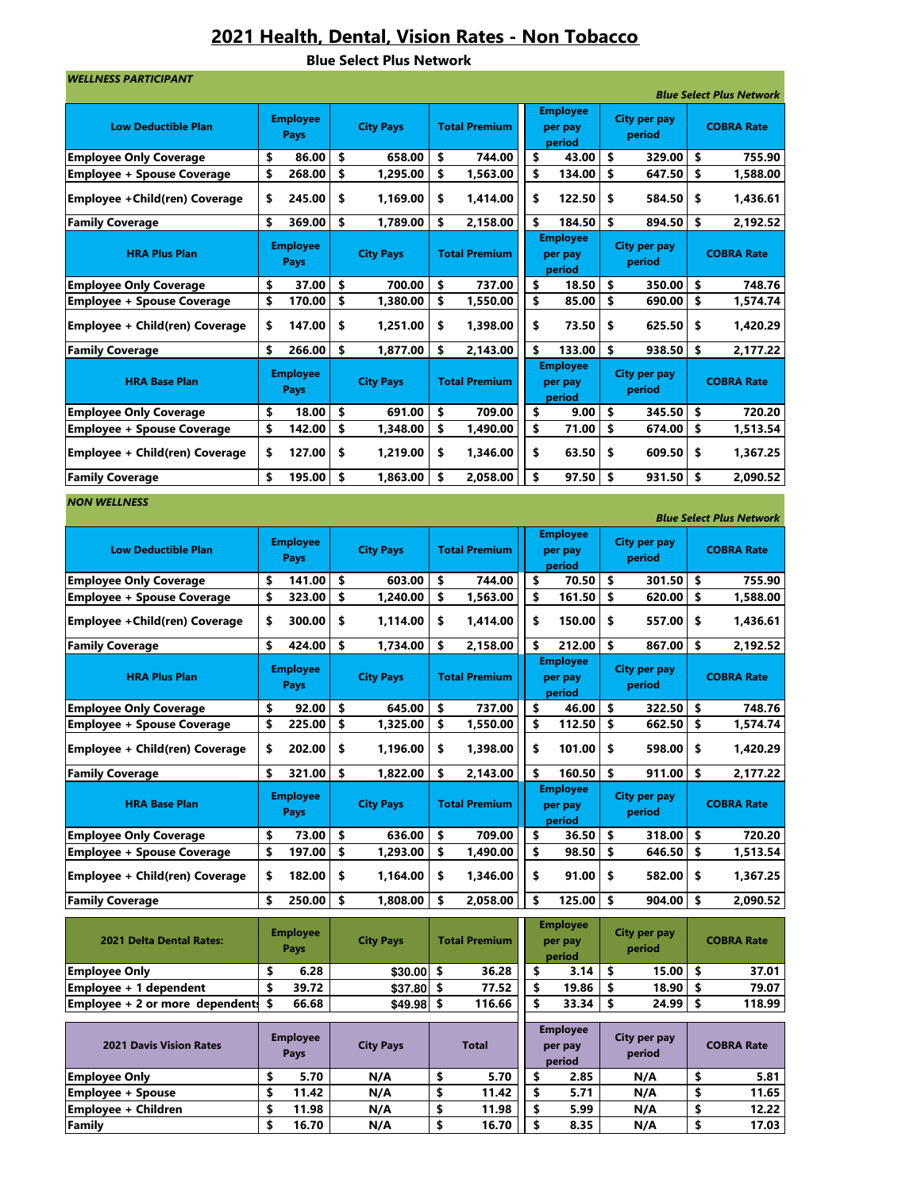## 2021 Health, Dental, Vision Rates - Non Tobacco

Blue Select Plus Network

| <b>WELLNESS PARTICIPANT</b>           |          |                                |                                |                  |          |                      |  |                                      |                        |          | <b>Blue Select Plus Network</b> |
|---------------------------------------|----------|--------------------------------|--------------------------------|------------------|----------|----------------------|--|--------------------------------------|------------------------|----------|---------------------------------|
| <b>Low Deductible Plan</b>            |          | <b>Employee</b><br><b>Pays</b> |                                | <b>City Pays</b> |          | <b>Total Premium</b> |  | <b>Employee</b><br>per pay<br>period | City per pay<br>period |          | <b>COBRA Rate</b>               |
| <b>Employee Only Coverage</b>         | \$       | 86.00                          | \$<br>658.00<br>\$<br>1,295.00 |                  |          | 744.00               |  | \$<br>43.00                          | \$<br>329.00           | \$       | 755.90                          |
| <b>Employee + Spouse Coverage</b>     | \$       | 268.00                         |                                |                  | \$       | 1,563.00             |  | \$<br>134.00                         | \$<br>647.50           | \$       | 1,588.00                        |
| <b>Employee + Child(ren) Coverage</b> | \$       | 245.00                         | \$                             | 1,169.00         | \$       | 1,414.00             |  | \$<br>122.50                         | \$<br>584.50           | \$       | 1,436.61                        |
| <b>Family Coverage</b>                | \$       | 369.00                         | \$                             | 1,789.00         | \$       | 2,158.00             |  | \$<br>184.50                         | \$<br>894.50           | \$       | 2,192.52                        |
| <b>HRA Plus Plan</b>                  |          | <b>Employee</b><br>Pays        |                                | <b>City Pays</b> |          | <b>Total Premium</b> |  | <b>Employee</b><br>per pay<br>period | City per pay<br>period |          | <b>COBRA Rate</b>               |
| <b>Employee Only Coverage</b>         | \$       | 37.00                          | \$                             | 700.00           | \$       | 737.00               |  | \$<br>18.50                          | \$<br>350.00           | \$       | 748.76                          |
| <b>Employee + Spouse Coverage</b>     | \$       | 170.00                         | \$                             | 1,380.00         | \$       | 1,550.00             |  | \$<br>85.00                          | \$<br>690.00           | \$       | 1,574.74                        |
| Employee + Child(ren) Coverage        | \$       | 147.00                         | \$                             | 1,251.00         | \$       | 1,398.00             |  | \$<br>73.50                          | \$<br>625.50           | \$       | 1,420.29                        |
| <b>Family Coverage</b>                | \$       | 266.00                         | \$                             | 1,877.00         | \$       | 2,143.00             |  | \$<br>133.00                         | \$<br>938.50           | \$       | 2,177.22                        |
| <b>HRA Base Plan</b>                  |          | <b>Employee</b><br>Pays        |                                | <b>City Pays</b> |          | <b>Total Premium</b> |  | <b>Employee</b><br>per pay<br>period | City per pay<br>period |          | <b>COBRA Rate</b>               |
| <b>Employee Only Coverage</b>         | \$       | 18.00                          | \$<br>691.00                   |                  | \$       | 709.00               |  | \$<br>9.00                           | \$<br>345.50           | \$       | 720.20                          |
| <b>Employee + Spouse Coverage</b>     | \$       | 142.00                         | \$<br>1,348.00                 |                  | \$       | 1,490.00             |  | \$<br>71.00                          | \$<br>674.00           | \$       | 1,513.54                        |
| Employee + Child(ren) Coverage        | \$       | 127.00                         | \$                             | 1,219.00         | \$       | 1,346.00             |  | \$<br>63.50                          | \$<br>609.50           | \$       | 1,367.25                        |
| <b>Family Coverage</b>                | \$       | 195.00                         | \$                             | 1,863.00         | \$       | 2.058.00             |  | \$<br>97.50                          | \$<br>931.50           | \$       | 2,090.52                        |
| <b>NON WELLNESS</b>                   |          |                                |                                |                  |          |                      |  |                                      |                        |          | <b>Blue Select Plus Network</b> |
| <b>Low Deductible Plan</b>            |          | Employee<br>Pays               | <b>City Pays</b>               |                  |          | <b>Total Premium</b> |  | <b>Employee</b><br>per pay<br>period | City per pay<br>period |          | <b>COBRA Rate</b>               |
| <b>Employee Only Coverage</b>         | \$       | 141.00                         | \$                             | 603.00           | \$       | 744.00               |  | \$<br>70.50                          | \$<br>301.50           | \$       | 755.90                          |
| <b>Employee + Spouse Coverage</b>     | \$       | 323.00                         | \$                             | 1,240.00         | \$       | 1,563.00             |  | \$<br>161.50                         | \$<br>620.00           | \$       | 1,588.00                        |
| Employee + Child(ren) Coverage        | \$       | 300.00                         | \$                             | 1,114.00         | \$       | 1,414.00             |  | \$<br>150.00                         | \$<br>557.00           | \$       | 1,436.61                        |
| <b>Family Coverage</b>                | \$       | 424.00                         | \$                             | 1,734.00         | \$       | 2,158.00             |  | \$<br>212.00                         | \$<br>867.00           | \$       | 2,192.52                        |
| <b>HRA Plus Plan</b>                  |          | <b>Employee</b><br>Pays        |                                | <b>City Pays</b> |          | <b>Total Premium</b> |  | <b>Employee</b><br>per pay<br>period | City per pay<br>period |          | <b>COBRA Rate</b>               |
| <b>Employee Only Coverage</b>         | \$       | 92.00                          | \$                             | 645.00           | \$       | 737.00               |  | \$<br>46.00                          | \$<br>322.50           | \$       | 748.76                          |
| <b>Employee + Spouse Coverage</b>     | \$       | 225.00                         | \$                             | 1,325.00         | \$       | 1,550.00             |  | \$<br>112.50                         | \$<br>662.50           | \$       | 1,574.74                        |
| Employee + Child(ren) Coverage        | \$       | 202.00                         | \$                             | 1,196.00         | \$       | 1,398.00             |  | \$<br>101.00                         | \$<br>598.00           | \$       | 1,420.29                        |
| <b>Family Coverage</b>                | \$       | 321.00                         | \$                             | 1,822.00         | \$       | 2,143.00             |  | \$<br>160.50                         | \$<br>911.00           | \$       | 2,177.22                        |
| <b>HRA Base Plan</b>                  |          | <b>Employee</b><br><b>Pays</b> |                                | <b>City Pays</b> |          | <b>Total Premium</b> |  | <b>Employee</b><br>per pay<br>period | City per pay<br>period |          | <b>COBRA Rate</b>               |
| <b>Employee Only Coverage</b>         | \$       | 73.00                          | \$                             | 636.00           | \$       | 709.00               |  | \$<br>36.50                          | \$<br>318.00           | \$       | 720.20                          |
| <b>Employee + Spouse Coverage</b>     | \$       | 197.00                         | \$                             | 1,293.00         | \$       | 1,490.00             |  | \$<br>98.50                          | \$<br>646.50           | \$       | 1,513.54                        |
| Employee + Child(ren) Coverage        | \$       | 182.00                         | \$                             | 1,164.00         | \$       | 1,346.00             |  | \$<br>91.00                          | \$<br>582.00           | \$       | 1,367.25                        |
| <b>Family Coverage</b>                | \$       | 250.00                         | \$                             | 1,808.00         | \$       | 2,058.00             |  | \$<br>125.00                         | \$<br>904.00           | \$       | 2,090.52                        |
| 2021 Delta Dental Rates:              |          | <b>Employee</b><br>Pays        |                                | <b>City Pays</b> |          | <b>Total Premium</b> |  | <b>Employee</b><br>per pay<br>period | City per pay<br>period |          | <b>COBRA Rate</b>               |
| <b>Employee Only</b>                  | \$       | 6.28                           |                                | $$30.00$ \$      |          | 36.28                |  | \$<br>3.14                           | \$<br>15.00            | \$       | 37.01                           |
| Employee + 1 dependent                | \$       | 39.72                          |                                | $$37.80$ \$      |          | 77.52                |  | \$<br>19.86                          | \$<br>18.90            | \$       | 79.07                           |
| Employee + 2 or more dependents       | \$       | 66.68                          |                                | $$49.98$ \$      |          | 116.66               |  | \$<br>33.34                          | \$<br>24.99            | \$       | 118.99                          |
| <b>2021 Davis Vision Rates</b>        |          | <b>Employee</b><br>Pays        |                                | <b>City Pays</b> |          | <b>Total</b>         |  | <b>Employee</b><br>per pay<br>period | City per pay<br>period |          | <b>COBRA Rate</b>               |
| <b>Employee Only</b>                  | \$<br>\$ | 5.70                           |                                | N/A              | \$<br>\$ | 5.70                 |  | \$<br>2.85<br>\$                     | N/A                    | \$<br>\$ | 5.81                            |
| <b>Employee + Spouse</b>              |          | 11.42                          |                                | N/A              |          | 11.42                |  | 5.71                                 | N/A                    |          | 11.65                           |

Employee + Children 5 11.98 N/A \$ 11.98 \$ 5.99 N/A \$ 12.22<br>Family \$ 16.70 N/A \$ 16.70 \$ 8.35 N/A \$ 17.03 Family | \$ 16.70 | N/A | \$ 16.70 || \$ 8.35 | N/A | \$ 17.03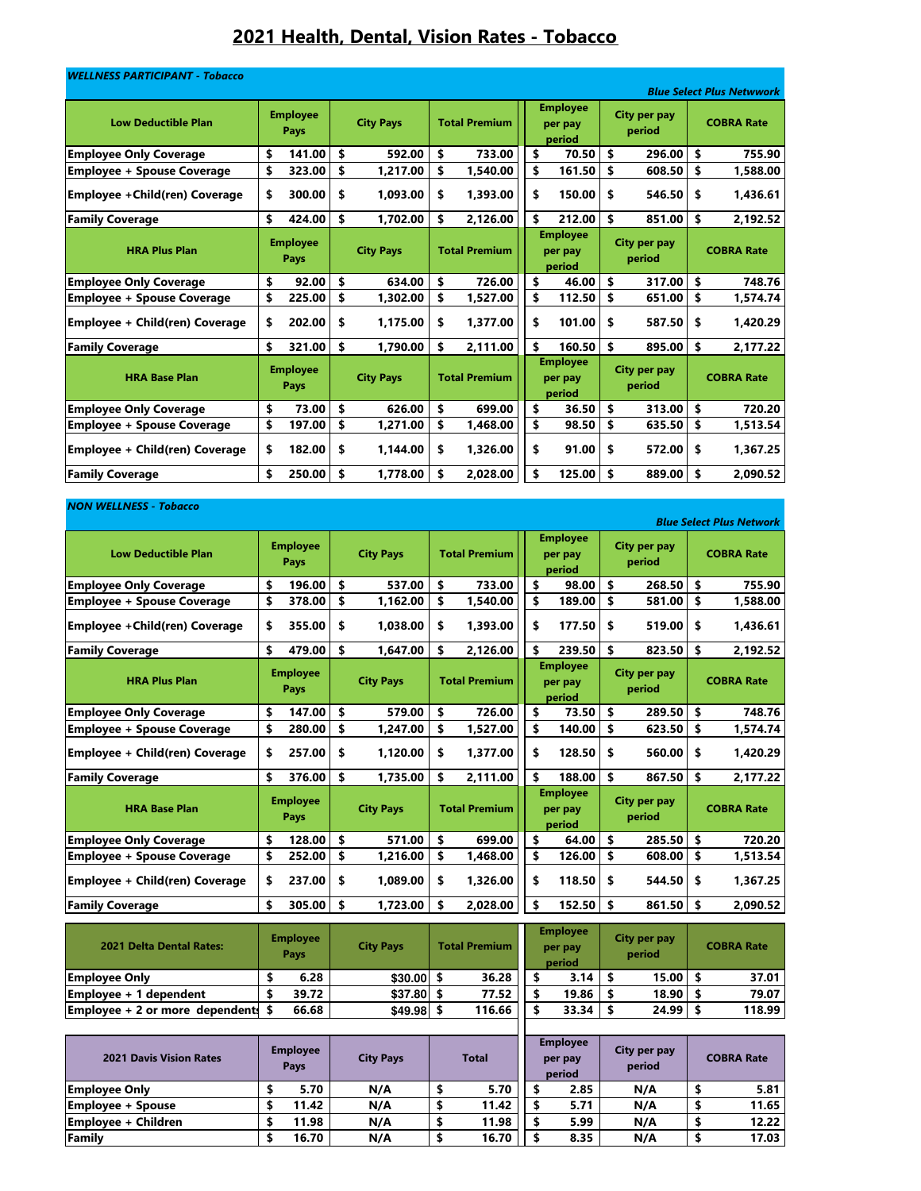# 2021 Health, Dental, Vision Rates - Tobacco

| <b>WELLNESS PARTICIPANT - Tobacco</b> |                                |                  |                      |                                      |                               | <b>Blue Select Plus Netwwork</b> |
|---------------------------------------|--------------------------------|------------------|----------------------|--------------------------------------|-------------------------------|----------------------------------|
| <b>Low Deductible Plan</b>            | <b>Employee</b><br>Pays        | <b>City Pays</b> | <b>Total Premium</b> | <b>Employee</b><br>per pay<br>period | <b>City per pay</b><br>period | <b>COBRA Rate</b>                |
| <b>Employee Only Coverage</b>         | \$<br>141.00                   | \$<br>592.00     | \$<br>733.00         | \$<br>70.50                          | \$<br>296.00                  | \$<br>755.90                     |
| <b>Employee + Spouse Coverage</b>     | \$<br>323.00                   | \$<br>1,217.00   | \$<br>1,540.00       | \$<br>161.50                         | \$<br>608.50                  | \$<br>1,588.00                   |
| Employee + Child(ren) Coverage        | \$<br>300.00                   | \$<br>1,093.00   | \$<br>1,393.00       | \$<br>150.00                         | \$<br>546.50                  | \$<br>1,436.61                   |
| <b>Family Coverage</b>                | \$<br>424.00                   | \$<br>1,702.00   | \$<br>2,126.00       | \$<br>212.00                         | \$<br>851.00                  | \$<br>2,192.52                   |
| <b>HRA Plus Plan</b>                  | <b>Employee</b><br>Pays        | <b>City Pays</b> | <b>Total Premium</b> | <b>Employee</b><br>per pay<br>period | <b>City per pay</b><br>period | <b>COBRA Rate</b>                |
| <b>Employee Only Coverage</b>         | \$<br>92.00                    | \$<br>634.00     | \$<br>726.00         | \$<br>46.00                          | \$<br>317.00                  | \$<br>748.76                     |
| <b>Employee + Spouse Coverage</b>     | \$<br>225.00                   | \$<br>1,302.00   | \$<br>1,527.00       | \$<br>112.50                         | \$<br>651.00                  | \$<br>1,574.74                   |
| Employee + Child(ren) Coverage        | \$<br>202.00                   | \$<br>1,175.00   | \$<br>1,377.00       | \$<br>101.00                         | \$<br>587.50                  | \$<br>1.420.29                   |
| <b>Family Coverage</b>                | \$<br>321.00                   | \$<br>1,790.00   | \$<br>2,111.00       | \$<br>160.50                         | \$<br>895.00                  | \$<br>2,177.22                   |
| <b>HRA Base Plan</b>                  | <b>Employee</b><br><b>Pays</b> | <b>City Pays</b> | <b>Total Premium</b> | <b>Employee</b><br>per pay<br>period | <b>City per pay</b><br>period | <b>COBRA Rate</b>                |
| <b>Employee Only Coverage</b>         | \$<br>73.00                    | \$<br>626.00     | \$<br>699.00         | \$<br>36.50                          | \$<br>313.00                  | \$<br>720.20                     |
| <b>Employee + Spouse Coverage</b>     | \$<br>197.00                   | \$<br>1,271.00   | \$<br>1,468.00       | \$<br>98.50                          | \$<br>635.50                  | \$<br>1,513.54                   |
| Employee + Child(ren) Coverage        | \$<br>182.00                   | \$<br>1,144.00   | \$<br>1.326.00       | \$<br>91.00                          | \$<br>572.00                  | \$<br>1,367.25                   |
| <b>Family Coverage</b>                | \$<br>250.00                   | \$<br>1.778.00   | \$<br>2.028.00       | \$<br>125.00                         | \$<br>889.00                  | \$<br>2.090.52                   |

#### NON WELLNESS - Tobacco

| <b>Blue Select Plus Network</b>   |    |                                |    |                  |    |                      |  |                                      |                               |                               |    |                   |  |
|-----------------------------------|----|--------------------------------|----|------------------|----|----------------------|--|--------------------------------------|-------------------------------|-------------------------------|----|-------------------|--|
| <b>Low Deductible Plan</b>        |    | <b>Employee</b><br>Pays        |    | <b>City Pays</b> |    | <b>Total Premium</b> |  | <b>Employee</b><br>per pay<br>period | <b>City per pay</b><br>period |                               |    | <b>COBRA Rate</b> |  |
| <b>Employee Only Coverage</b>     | \$ | 196.00                         | \$ | 537.00           | \$ | 733.00               |  | \$<br>98.00                          | \$                            | 268.50                        | \$ | 755.90            |  |
| <b>Employee + Spouse Coverage</b> | \$ | 378.00                         | \$ | 1,162.00         | \$ | 1,540.00             |  | \$<br>189.00                         | \$                            | 581.00                        | \$ | 1,588.00          |  |
| Employee + Child(ren) Coverage    | \$ | 355.00                         | \$ | 1.038.00         | \$ | 1.393.00             |  | 177.50<br>\$                         | \$                            | 519.00                        | \$ | 1,436.61          |  |
| <b>Family Coverage</b>            | \$ | 479.00                         | \$ | 1,647.00         | \$ | 2,126.00             |  | \$<br>239.50                         | \$                            | 823.50                        | \$ | 2,192.52          |  |
| <b>HRA Plus Plan</b>              |    | <b>Employee</b><br><b>Pays</b> |    | <b>City Pays</b> |    | <b>Total Premium</b> |  | <b>Employee</b><br>per pay<br>period |                               | <b>City per pay</b><br>period |    | <b>COBRA Rate</b> |  |
| <b>Employee Only Coverage</b>     | \$ | 147.00                         | \$ | 579.00           | \$ | 726.00               |  | \$<br>73.50                          | \$                            | 289.50                        | \$ | 748.76            |  |
| <b>Employee + Spouse Coverage</b> | \$ | 280.00                         | \$ | 1,247.00         | \$ | 1,527.00             |  | \$<br>140.00                         | \$                            | 623.50                        | \$ | 1,574.74          |  |
| Employee + Child(ren) Coverage    | \$ | 257.00                         | \$ | 1.120.00         | \$ | 1.377.00             |  | \$<br>128.50                         | \$                            | 560.00                        | \$ | 1.420.29          |  |
| <b>Family Coverage</b>            | \$ | 376.00                         | \$ | 1,735.00         | \$ | 2,111.00             |  | \$<br>188.00                         | \$                            | 867.50                        | \$ | 2,177.22          |  |
| <b>HRA Base Plan</b>              |    | <b>Employee</b><br><b>Pays</b> |    | <b>City Pays</b> |    | <b>Total Premium</b> |  | <b>Employee</b><br>per pay<br>period |                               | <b>City per pay</b><br>period |    | <b>COBRA Rate</b> |  |
| <b>Employee Only Coverage</b>     | \$ | 128.00                         | \$ | 571.00           | \$ | 699.00               |  | \$<br>64.00                          | \$                            | 285.50                        | \$ | 720.20            |  |
| <b>Employee + Spouse Coverage</b> | \$ | 252.00                         | \$ | 1,216.00         | \$ | 1,468.00             |  | \$<br>126.00                         | \$                            | 608.00                        | \$ | 1,513.54          |  |
| Employee + Child(ren) Coverage    | \$ | 237.00                         | \$ | 1.089.00         | \$ | 1,326.00             |  | \$<br>118.50                         | \$                            | 544.50                        | \$ | 1,367.25          |  |
| <b>Family Coverage</b>            | \$ | 305.00                         | \$ | 1,723.00         | \$ | 2,028.00             |  | \$<br>152.50                         | \$                            | 861.50                        | \$ | 2.090.52          |  |
|                                   |    |                                |    |                  |    |                      |  |                                      |                               |                               |    |                   |  |

| <b>2021 Delta Dental Rates:</b>    | <b>Employee</b><br>Pays | <b>City Pays</b> | <b>Total Premium</b> | <b>Employee</b><br>per pay<br>period | City per pay<br>period | <b>COBRA Rate</b> |
|------------------------------------|-------------------------|------------------|----------------------|--------------------------------------|------------------------|-------------------|
| <b>Employee Only</b>               | 6.28                    | \$30.00          | 36.28                | 3.14                                 | $15.00$   \$           | 37.01             |
| Employee + 1 dependent             | 39.72                   | \$37.80          | 77.52                | 19.86                                | 18.90                  | 79.07             |
| Employee + 2 or more dependent: \$ | 66.68                   | \$49.98          | 116.66               | 33.34                                | 24.99                  | 118.99            |
|                                    |                         |                  |                      |                                      |                        |                   |

| <b>2021 Davis Vision Rates</b> | <b>Employee</b><br>Pays | <b>City Pays</b> | <b>Total</b> | <b>Employee</b><br>per pay<br>period | City per pay<br>period | <b>COBRA Rate</b> |
|--------------------------------|-------------------------|------------------|--------------|--------------------------------------|------------------------|-------------------|
| <b>Employee Only</b>           | 5.70                    | N/A              | 5.70         | 2.85                                 | N/A                    | 5.81              |
| Employee + Spouse              | 11.42                   | N/A              | 11.42        | 5.71                                 | N/A                    | 11.65             |
| <b>Employee + Children</b>     | 11.98                   | N/A              | 11.98        | 5.99                                 | N/A                    | 12.22             |
| Family                         | 16.70                   | N/A              | 16.70        | 8.35                                 | N/A                    | 17.03             |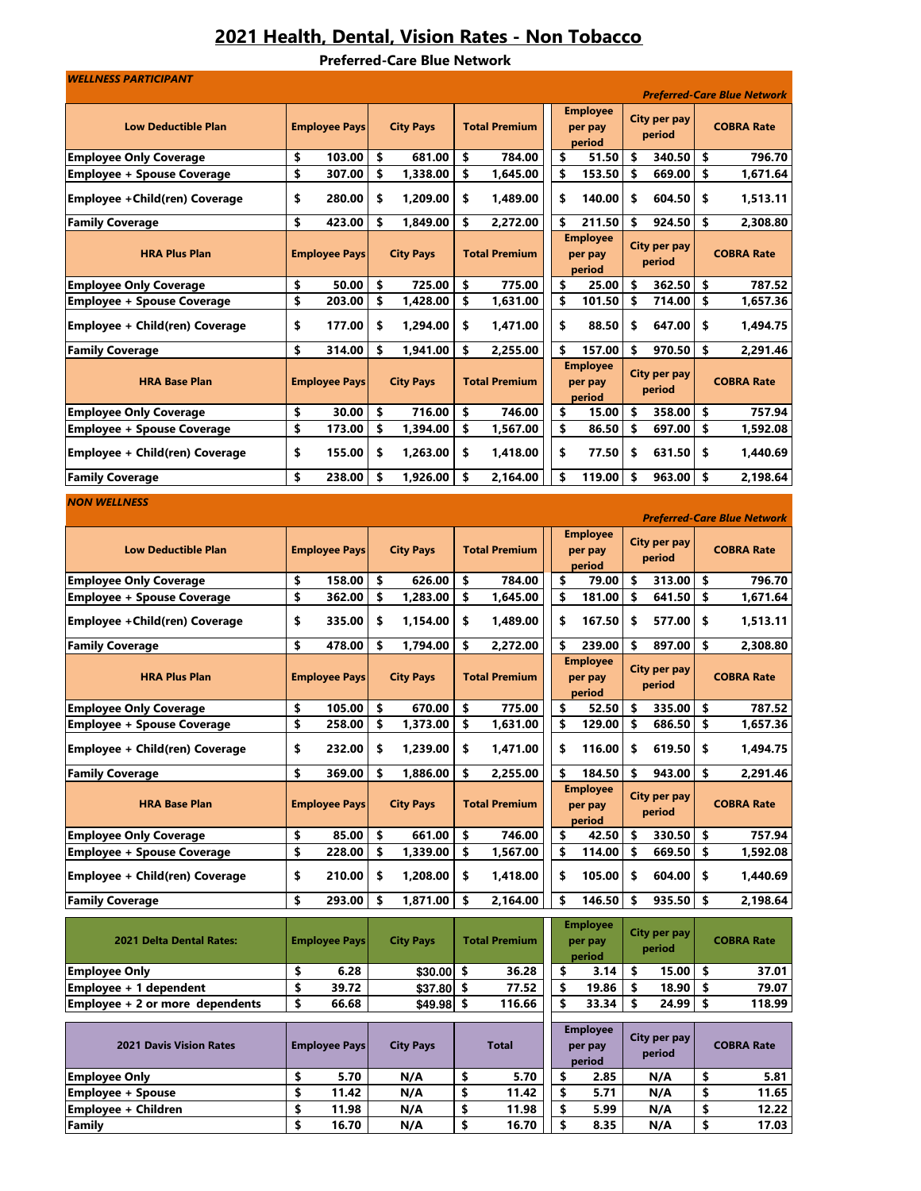## 2021 Health, Dental, Vision Rates - Non Tobacco

Preferred-Care Blue Network

| <b>WELLNESS PARTICIPANT</b>                                         |          |                      |          |                      |          |                      |          |                                      |          |                        |          | <b>Preferred-Care Blue Network</b> |
|---------------------------------------------------------------------|----------|----------------------|----------|----------------------|----------|----------------------|----------|--------------------------------------|----------|------------------------|----------|------------------------------------|
| <b>Low Deductible Plan</b>                                          |          | <b>Employee Pays</b> |          | <b>City Pays</b>     |          | <b>Total Premium</b> |          | <b>Employee</b>                      |          | City per pay           |          | <b>COBRA Rate</b>                  |
|                                                                     |          |                      |          |                      |          |                      |          | per pay<br>period                    |          | period                 |          |                                    |
| <b>Employee Only Coverage</b>                                       | \$       | 103.00               | \$       | 681.00               | \$       | 784.00               | \$       | 51.50                                | \$       | 340.50                 | \$       | 796.70                             |
| <b>Employee + Spouse Coverage</b>                                   | \$       | 307.00               | \$       | 1,338.00             | \$       | 1,645.00             | \$       | 153.50                               | \$       | 669.00                 | \$       | 1,671.64                           |
| <b>Employee + Child(ren) Coverage</b>                               | \$       | 280.00               | \$       | 1,209.00             | \$       | 1,489.00             | \$       | 140.00                               | \$       | 604.50                 | \$       | 1,513.11                           |
| <b>Family Coverage</b>                                              | \$       | 423.00               | \$       | 1,849.00             | \$       | 2,272.00             | \$       | 211.50                               | \$       | 924.50                 | \$       | 2,308.80                           |
| <b>HRA Plus Plan</b>                                                |          | <b>Employee Pays</b> |          | <b>City Pays</b>     |          | <b>Total Premium</b> |          | <b>Employee</b><br>per pay<br>period |          | City per pay<br>period |          | <b>COBRA Rate</b>                  |
| <b>Employee Only Coverage</b>                                       | \$       | 50.00                | \$       | 725.00               | \$       | 775.00               | \$       | 25.00                                | \$       | 362.50                 | \$       | 787.52                             |
| <b>Employee + Spouse Coverage</b>                                   | \$       | 203.00               | \$       | 1,428.00             | \$       | 1,631.00             | \$       | 101.50                               | \$       | 714.00                 | \$       | 1,657.36                           |
| Employee + Child(ren) Coverage                                      | \$       | 177.00               | \$       | 1,294.00             | \$       | 1,471.00             | \$       | 88.50                                | \$       | 647.00                 | \$       | 1,494.75                           |
| <b>Family Coverage</b>                                              | \$       | 314.00               | \$       | 1,941.00             | \$       | 2,255.00             | \$       | 157.00                               | \$       | 970.50                 | \$       | 2,291.46                           |
| <b>HRA Base Plan</b>                                                |          | <b>Employee Pays</b> |          | <b>City Pays</b>     |          | <b>Total Premium</b> |          | <b>Employee</b><br>per pay<br>period |          | City per pay<br>period |          | <b>COBRA Rate</b>                  |
| <b>Employee Only Coverage</b>                                       | \$       | 30.00                | \$       | 716.00               | \$       | 746.00               | \$       | 15.00                                | \$       | 358.00                 | \$       | 757.94                             |
| <b>Employee + Spouse Coverage</b><br>Employee + Child(ren) Coverage | \$<br>\$ | 173.00<br>155.00     | \$<br>\$ | 1,394.00<br>1,263.00 | \$<br>\$ | 1,567.00<br>1,418.00 | \$<br>\$ | 86.50<br>77.50                       | \$<br>\$ | 697.00<br>631.50       | \$<br>\$ | 1,592.08<br>1,440.69               |
|                                                                     |          |                      |          |                      |          |                      |          |                                      |          |                        |          |                                    |
| <b>Family Coverage</b>                                              | \$       | 238.00               | \$       | 1,926.00             | \$       | 2,164.00             | \$       | 119.00                               | \$       | 963.00                 | \$       | 2,198.64                           |
| <b>NON WELLNESS</b>                                                 |          |                      |          |                      |          |                      |          |                                      |          |                        |          | <b>Preferred-Care Blue Network</b> |
|                                                                     |          |                      |          |                      |          |                      |          | <b>Employee</b>                      |          |                        |          |                                    |
| <b>Low Deductible Plan</b>                                          |          | <b>Employee Pays</b> |          | <b>City Pays</b>     |          | <b>Total Premium</b> |          | per pay<br>period                    |          | City per pay<br>period |          | <b>COBRA Rate</b>                  |
| <b>Employee Only Coverage</b>                                       | \$       | 158.00               | \$       | 626.00               | \$       | 784.00               | \$       | 79.00                                | \$       | 313.00                 | \$       | 796.70                             |
| <b>Employee + Spouse Coverage</b>                                   | \$       | 362.00               | \$       | 1,283.00             | \$       | 1,645.00             | \$       | 181.00                               | \$       | 641.50                 | \$       | 1,671.64                           |
| Employee + Child(ren) Coverage                                      | \$       | 335.00               | \$       | 1,154.00             | \$       | 1,489.00             | \$       | 167.50                               | \$       | 577.00                 | \$       | 1,513.11                           |
| <b>Family Coverage</b>                                              | \$       | 478.00               | \$       | 1,794.00             | \$       | 2,272.00             | \$       | 239.00<br><b>Employee</b>            | \$       | 897.00                 | \$       | 2,308.80                           |
| <b>HRA Plus Plan</b>                                                |          | <b>Employee Pays</b> |          | <b>City Pays</b>     |          | <b>Total Premium</b> |          | per pay<br>period                    |          | City per pay<br>period |          | <b>COBRA Rate</b>                  |
| <b>Employee Only Coverage</b>                                       | \$       | 105.00               | \$       | 670.00               | \$       | 775.00               | \$       | 52.50                                | \$       | 335.00                 | \$       | 787.52                             |
| <b>Employee + Spouse Coverage</b>                                   | \$       | 258.00               | \$       | 1,373.00             | \$       | 1,631.00             | \$       | 129.00                               | \$       | 686.50                 | \$       | 1,657.36                           |
| Employee + Child(ren) Coverage                                      | \$       | 232.00               | \$       | 1,239.00             | \$       | 1,471.00             | \$       | 116.00                               | \$       | 619.50                 | \$       | 1,494.75                           |
| <b>Family Coverage</b>                                              | \$       | 369.00               | \$       | 1,886.00             | \$       | 2,255.00             | \$       | 184.50                               | \$       | 943.00                 | \$       | 2,291.46                           |
| <b>HRA Base Plan</b>                                                |          | <b>Employee Pays</b> |          | <b>City Pays</b>     |          | <b>Total Premium</b> |          | <b>Employee</b><br>per pay<br>period |          | City per pay<br>period |          | <b>COBRA Rate</b>                  |
| <b>Employee Only Coverage</b>                                       | \$       | 85.00                | \$       | 661.00               | \$       | 746.00               | \$       | 42.50                                | \$       | 330.50                 | \$       | 757.94                             |
| <b>Employee + Spouse Coverage</b>                                   | \$       | 228.00               | \$       | 1,339.00             | \$       | 1,567.00             | \$       | 114.00                               | \$       | 669.50                 | \$       | 1,592.08                           |
| Employee + Child(ren) Coverage                                      | \$       | 210.00               | \$       | 1,208.00             | \$       | 1,418.00             | \$       | 105.00                               | \$       | 604.00                 | \$       | 1,440.69                           |
| <b>Family Coverage</b>                                              | \$       | 293.00               | \$       | 1,871.00             | \$       | 2,164.00             | \$       | 146.50                               | \$       | 935.50                 | \$       | 2,198.64                           |
| <b>2021 Delta Dental Rates:</b>                                     |          | <b>Employee Pays</b> |          | <b>City Pays</b>     |          | <b>Total Premium</b> |          | <b>Employee</b><br>per pay<br>period |          | City per pay<br>period |          | <b>COBRA Rate</b>                  |
| <b>Employee Only</b>                                                | \$       | 6.28                 |          | $$30.00$ \$          |          | 36.28                | \$       | 3.14                                 | \$       | 15.00                  | \$.      | 37.01                              |
| <b>Employee + <math>\overline{1}</math> dependent</b>               | \$       | 39.72                |          | $$37.80$ \$          |          | 77.52                | \$       | 19.86                                | \$       | 18.90                  | -\$      | 79.07                              |
| Employee + 2 or more dependents                                     | \$       | 66.68                |          | $$49.98$ \$          |          | 116.66               | \$       | 33.34                                | \$       | 24.99                  | \$       | 118.99                             |
| <b>2021 Davis Vision Rates</b>                                      |          | <b>Employee Pays</b> |          | <b>City Pays</b>     |          | <b>Total</b>         |          | <b>Employee</b><br>per pay<br>period |          | City per pay<br>period |          | <b>COBRA Rate</b>                  |
| <b>Employee Only</b>                                                | \$       | 5.70                 |          | N/A                  | \$       | 5.70                 | \$       | 2.85                                 |          | N/A                    | \$       | 5.81                               |
| <b>Employee + Spouse</b><br>Employee + Children                     | \$<br>\$ | 11.42<br>11.98       |          | N/A<br>N/A           | \$<br>\$ | 11.42<br>11.98       | \$<br>\$ | 5.71<br>5.99                         |          | N/A<br>N/A             | \$<br>\$ | 11.65<br>12.22                     |
| Family                                                              | \$       | 16.70                |          | N/A                  | \$       | 16.70                | \$       | 8.35                                 |          | N/A                    | \$       | 17.03                              |